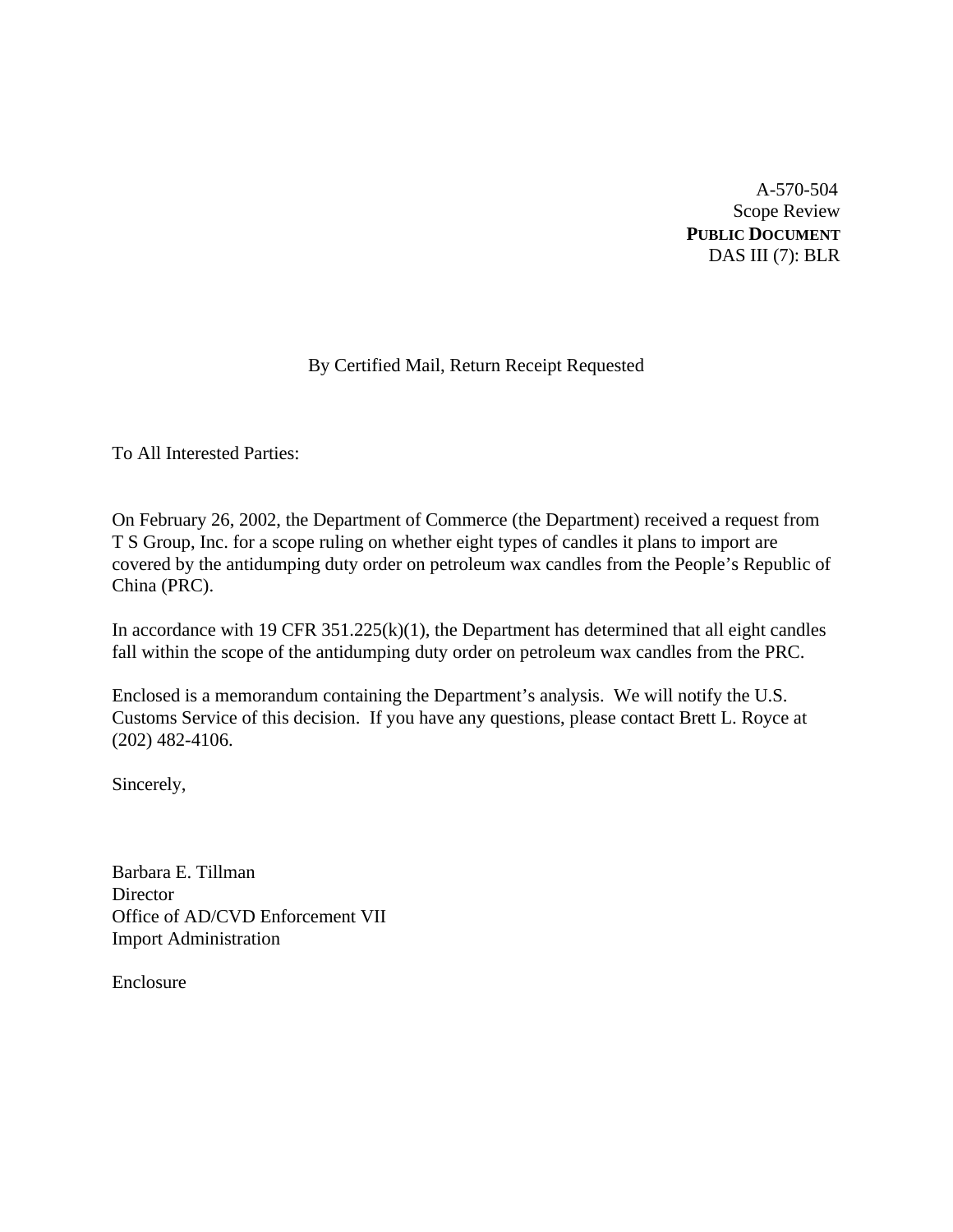A-570-504 Scope Review **PUBLIC DOCUMENT** DAS III (7): BLR

# By Certified Mail, Return Receipt Requested

To All Interested Parties:

On February 26, 2002, the Department of Commerce (the Department) received a request from T S Group, Inc. for a scope ruling on whether eight types of candles it plans to import are covered by the antidumping duty order on petroleum wax candles from the People's Republic of China (PRC).

In accordance with 19 CFR  $351.225(k)(1)$ , the Department has determined that all eight candles fall within the scope of the antidumping duty order on petroleum wax candles from the PRC.

Enclosed is a memorandum containing the Department's analysis. We will notify the U.S. Customs Service of this decision. If you have any questions, please contact Brett L. Royce at (202) 482-4106.

Sincerely,

Barbara E. Tillman **Director** Office of AD/CVD Enforcement VII Import Administration

Enclosure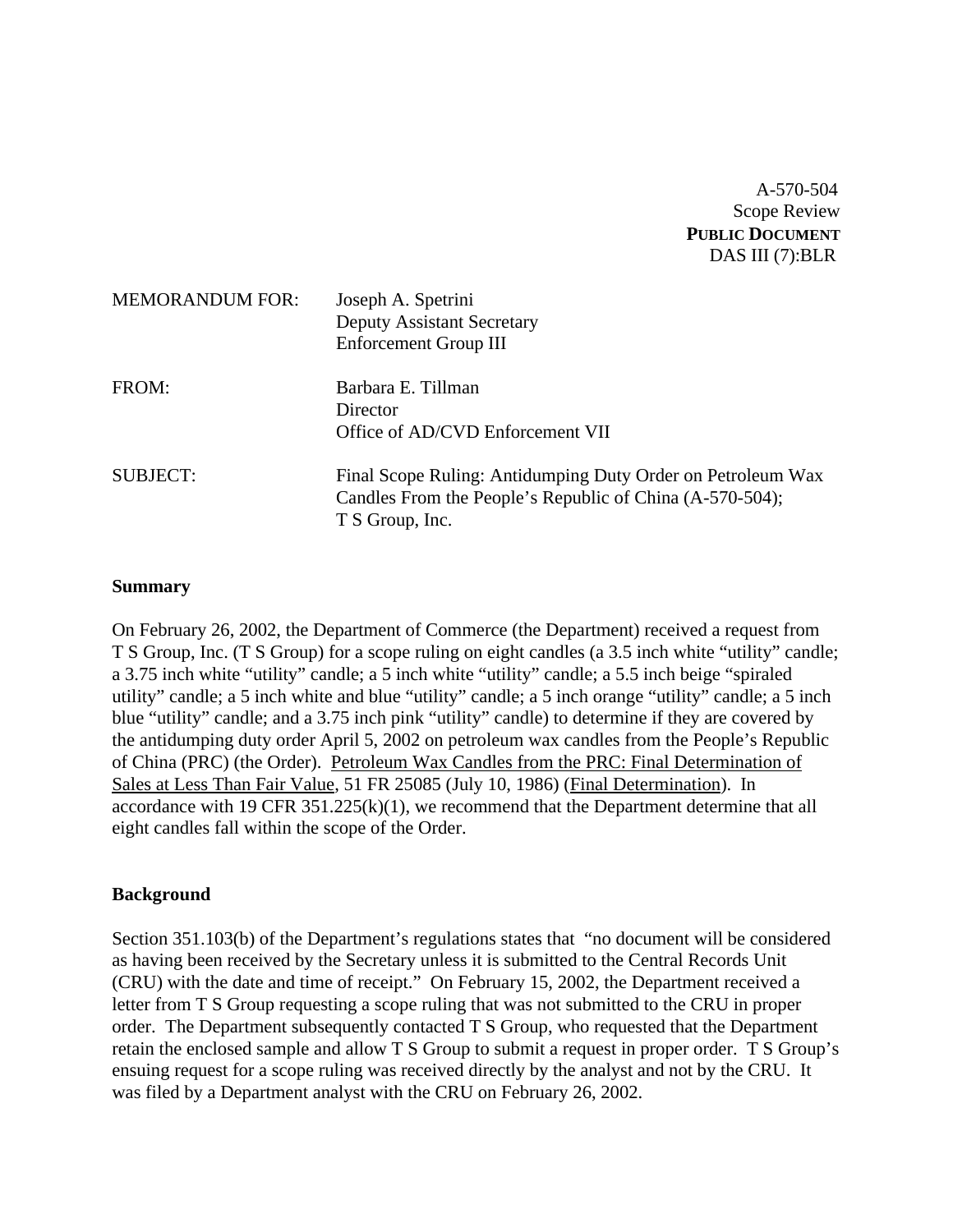A-570-504 Scope Review **PUBLIC DOCUMENT** DAS III (7):BLR

| <b>MEMORANDUM FOR:</b> | Joseph A. Spetrini<br><b>Deputy Assistant Secretary</b><br><b>Enforcement Group III</b>                                                    |
|------------------------|--------------------------------------------------------------------------------------------------------------------------------------------|
| FROM:                  | Barbara E. Tillman<br>Director<br>Office of AD/CVD Enforcement VII                                                                         |
| <b>SUBJECT:</b>        | Final Scope Ruling: Antidumping Duty Order on Petroleum Wax<br>Candles From the People's Republic of China (A-570-504);<br>T S Group, Inc. |

#### **Summary**

On February 26, 2002, the Department of Commerce (the Department) received a request from T S Group, Inc. (T S Group) for a scope ruling on eight candles (a 3.5 inch white "utility" candle; a 3.75 inch white "utility" candle; a 5 inch white "utility" candle; a 5.5 inch beige "spiraled utility" candle; a 5 inch white and blue "utility" candle; a 5 inch orange "utility" candle; a 5 inch blue "utility" candle; and a 3.75 inch pink "utility" candle) to determine if they are covered by the antidumping duty order April 5, 2002 on petroleum wax candles from the People's Republic of China (PRC) (the Order). Petroleum Wax Candles from the PRC: Final Determination of Sales at Less Than Fair Value, 51 FR 25085 (July 10, 1986) (Final Determination). In accordance with 19 CFR  $351.225(k)(1)$ , we recommend that the Department determine that all eight candles fall within the scope of the Order.

#### **Background**

Section 351.103(b) of the Department's regulations states that "no document will be considered as having been received by the Secretary unless it is submitted to the Central Records Unit (CRU) with the date and time of receipt." On February 15, 2002, the Department received a letter from T S Group requesting a scope ruling that was not submitted to the CRU in proper order. The Department subsequently contacted T S Group, who requested that the Department retain the enclosed sample and allow T S Group to submit a request in proper order. T S Group's ensuing request for a scope ruling was received directly by the analyst and not by the CRU. It was filed by a Department analyst with the CRU on February 26, 2002.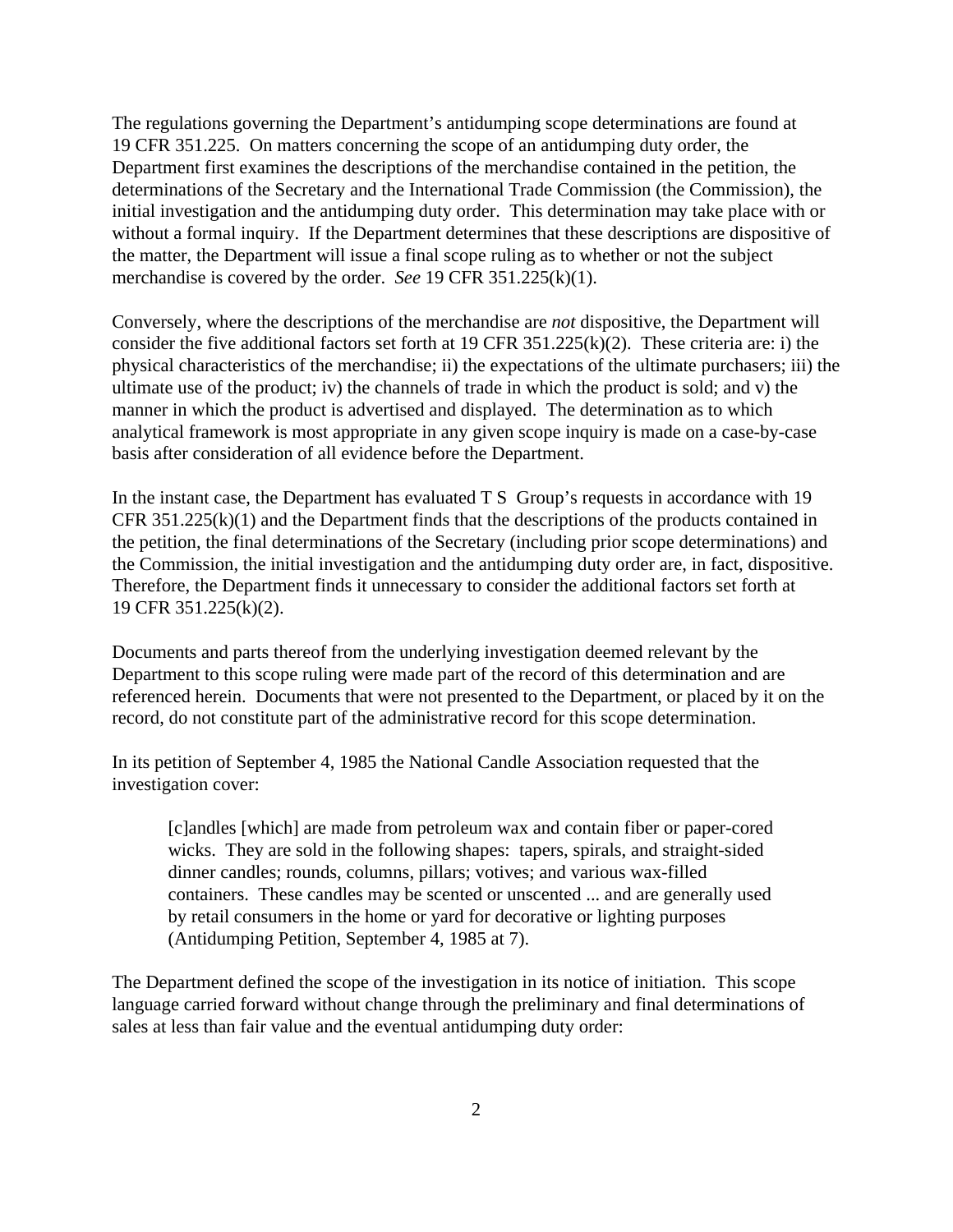The regulations governing the Department's antidumping scope determinations are found at 19 CFR 351.225. On matters concerning the scope of an antidumping duty order, the Department first examines the descriptions of the merchandise contained in the petition, the determinations of the Secretary and the International Trade Commission (the Commission), the initial investigation and the antidumping duty order. This determination may take place with or without a formal inquiry. If the Department determines that these descriptions are dispositive of the matter, the Department will issue a final scope ruling as to whether or not the subject merchandise is covered by the order. *See* 19 CFR 351.225(k)(1).

Conversely, where the descriptions of the merchandise are *not* dispositive, the Department will consider the five additional factors set forth at 19 CFR 351.225(k)(2). These criteria are: i) the physical characteristics of the merchandise; ii) the expectations of the ultimate purchasers; iii) the ultimate use of the product; iv) the channels of trade in which the product is sold; and v) the manner in which the product is advertised and displayed. The determination as to which analytical framework is most appropriate in any given scope inquiry is made on a case-by-case basis after consideration of all evidence before the Department.

In the instant case, the Department has evaluated T S Group's requests in accordance with 19 CFR 351.225(k)(1) and the Department finds that the descriptions of the products contained in the petition, the final determinations of the Secretary (including prior scope determinations) and the Commission, the initial investigation and the antidumping duty order are, in fact, dispositive. Therefore, the Department finds it unnecessary to consider the additional factors set forth at 19 CFR 351.225(k)(2).

Documents and parts thereof from the underlying investigation deemed relevant by the Department to this scope ruling were made part of the record of this determination and are referenced herein. Documents that were not presented to the Department, or placed by it on the record, do not constitute part of the administrative record for this scope determination.

In its petition of September 4, 1985 the National Candle Association requested that the investigation cover:

[c]andles [which] are made from petroleum wax and contain fiber or paper-cored wicks. They are sold in the following shapes: tapers, spirals, and straight-sided dinner candles; rounds, columns, pillars; votives; and various wax-filled containers. These candles may be scented or unscented ... and are generally used by retail consumers in the home or yard for decorative or lighting purposes (Antidumping Petition, September 4, 1985 at 7).

The Department defined the scope of the investigation in its notice of initiation. This scope language carried forward without change through the preliminary and final determinations of sales at less than fair value and the eventual antidumping duty order: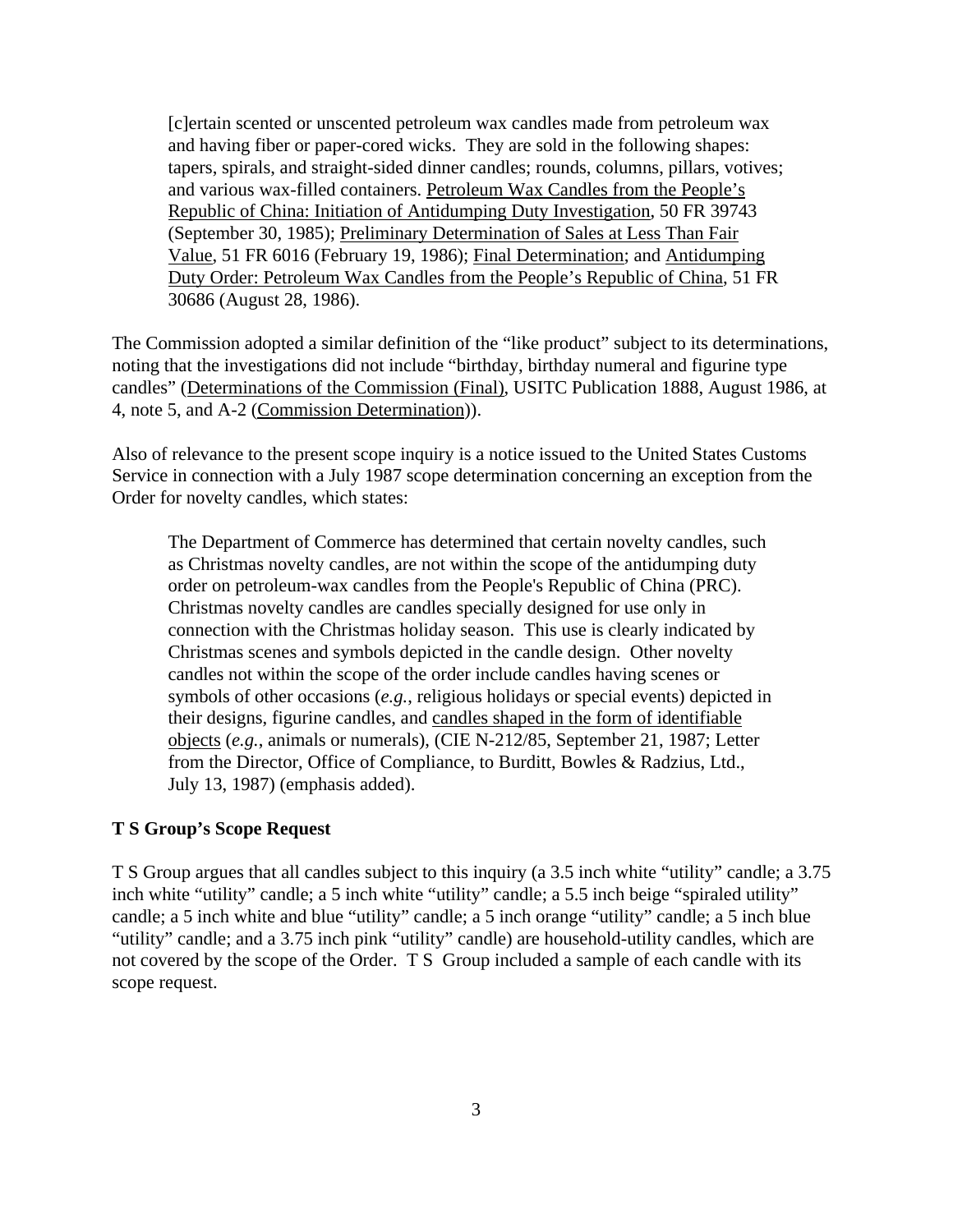[c]ertain scented or unscented petroleum wax candles made from petroleum wax and having fiber or paper-cored wicks. They are sold in the following shapes: tapers, spirals, and straight-sided dinner candles; rounds, columns, pillars, votives; and various wax-filled containers. Petroleum Wax Candles from the People's Republic of China: Initiation of Antidumping Duty Investigation, 50 FR 39743 (September 30, 1985); Preliminary Determination of Sales at Less Than Fair Value, 51 FR 6016 (February 19, 1986); Final Determination; and Antidumping Duty Order: Petroleum Wax Candles from the People's Republic of China, 51 FR 30686 (August 28, 1986).

The Commission adopted a similar definition of the "like product" subject to its determinations, noting that the investigations did not include "birthday, birthday numeral and figurine type candles" (Determinations of the Commission (Final), USITC Publication 1888, August 1986, at 4, note 5, and A-2 (Commission Determination)).

Also of relevance to the present scope inquiry is a notice issued to the United States Customs Service in connection with a July 1987 scope determination concerning an exception from the Order for novelty candles, which states:

The Department of Commerce has determined that certain novelty candles, such as Christmas novelty candles, are not within the scope of the antidumping duty order on petroleum-wax candles from the People's Republic of China (PRC). Christmas novelty candles are candles specially designed for use only in connection with the Christmas holiday season. This use is clearly indicated by Christmas scenes and symbols depicted in the candle design. Other novelty candles not within the scope of the order include candles having scenes or symbols of other occasions (*e.g.*, religious holidays or special events) depicted in their designs, figurine candles, and candles shaped in the form of identifiable objects (*e.g.*, animals or numerals), (CIE N-212/85, September 21, 1987; Letter from the Director, Office of Compliance, to Burditt, Bowles & Radzius, Ltd., July 13, 1987) (emphasis added).

### **T S Group's Scope Request**

T S Group argues that all candles subject to this inquiry (a 3.5 inch white "utility" candle; a 3.75 inch white "utility" candle; a 5 inch white "utility" candle; a 5.5 inch beige "spiraled utility" candle; a 5 inch white and blue "utility" candle; a 5 inch orange "utility" candle; a 5 inch blue "utility" candle; and a 3.75 inch pink "utility" candle) are household-utility candles, which are not covered by the scope of the Order. T S Group included a sample of each candle with its scope request.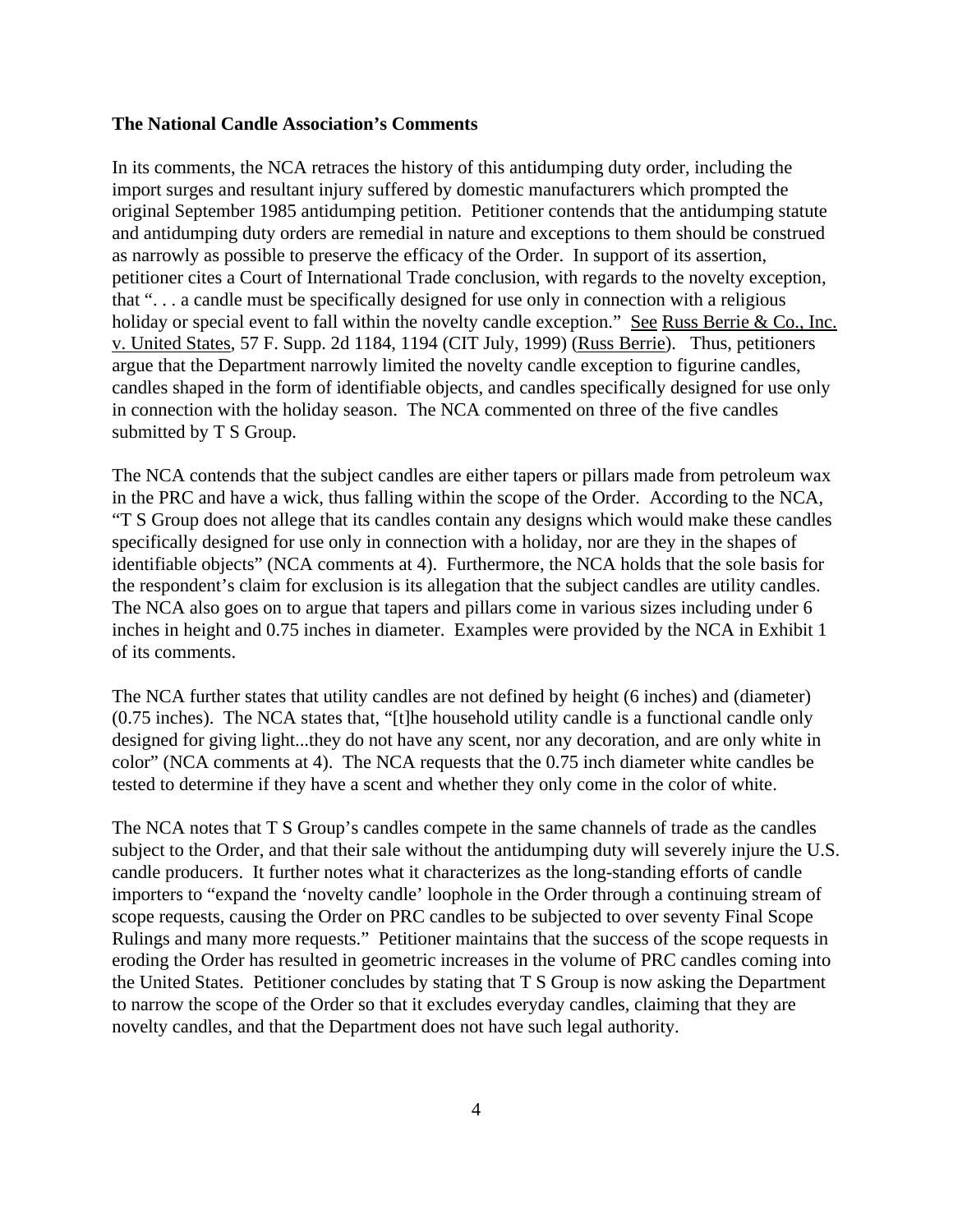#### **The National Candle Association's Comments**

In its comments, the NCA retraces the history of this antidumping duty order, including the import surges and resultant injury suffered by domestic manufacturers which prompted the original September 1985 antidumping petition. Petitioner contends that the antidumping statute and antidumping duty orders are remedial in nature and exceptions to them should be construed as narrowly as possible to preserve the efficacy of the Order. In support of its assertion, petitioner cites a Court of International Trade conclusion, with regards to the novelty exception, that ". . . a candle must be specifically designed for use only in connection with a religious holiday or special event to fall within the novelty candle exception." See Russ Berrie & Co., Inc. v. United States, 57 F. Supp. 2d 1184, 1194 (CIT July, 1999) (Russ Berrie). Thus, petitioners argue that the Department narrowly limited the novelty candle exception to figurine candles, candles shaped in the form of identifiable objects, and candles specifically designed for use only in connection with the holiday season. The NCA commented on three of the five candles submitted by T S Group.

The NCA contends that the subject candles are either tapers or pillars made from petroleum wax in the PRC and have a wick, thus falling within the scope of the Order. According to the NCA, "T S Group does not allege that its candles contain any designs which would make these candles specifically designed for use only in connection with a holiday, nor are they in the shapes of identifiable objects" (NCA comments at 4). Furthermore, the NCA holds that the sole basis for the respondent's claim for exclusion is its allegation that the subject candles are utility candles. The NCA also goes on to argue that tapers and pillars come in various sizes including under 6 inches in height and 0.75 inches in diameter. Examples were provided by the NCA in Exhibit 1 of its comments.

The NCA further states that utility candles are not defined by height (6 inches) and (diameter) (0.75 inches). The NCA states that, "[t]he household utility candle is a functional candle only designed for giving light...they do not have any scent, nor any decoration, and are only white in color" (NCA comments at 4). The NCA requests that the 0.75 inch diameter white candles be tested to determine if they have a scent and whether they only come in the color of white.

The NCA notes that T S Group's candles compete in the same channels of trade as the candles subject to the Order, and that their sale without the antidumping duty will severely injure the U.S. candle producers. It further notes what it characterizes as the long-standing efforts of candle importers to "expand the 'novelty candle' loophole in the Order through a continuing stream of scope requests, causing the Order on PRC candles to be subjected to over seventy Final Scope Rulings and many more requests." Petitioner maintains that the success of the scope requests in eroding the Order has resulted in geometric increases in the volume of PRC candles coming into the United States. Petitioner concludes by stating that T S Group is now asking the Department to narrow the scope of the Order so that it excludes everyday candles, claiming that they are novelty candles, and that the Department does not have such legal authority.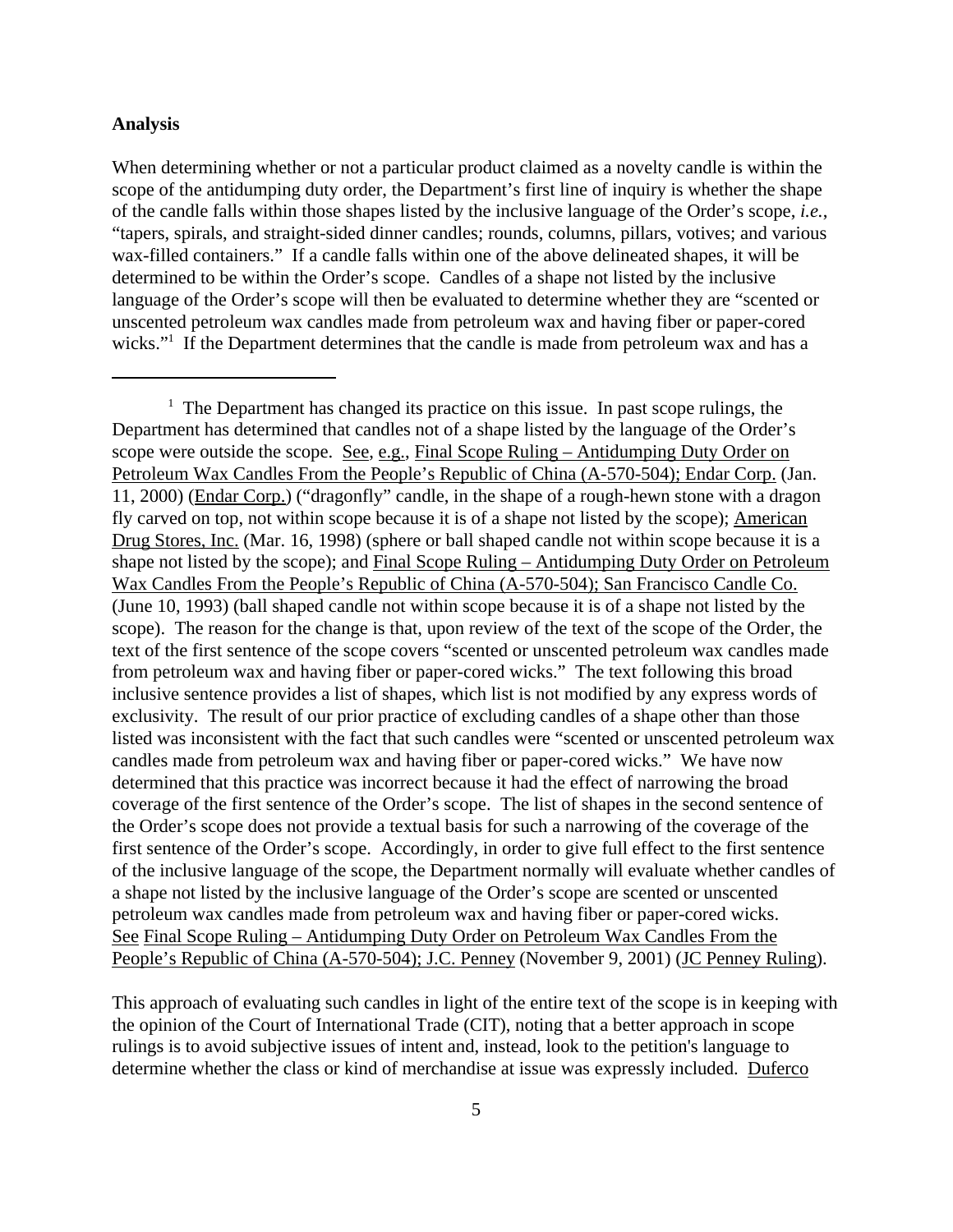### **Analysis**

When determining whether or not a particular product claimed as a novelty candle is within the scope of the antidumping duty order, the Department's first line of inquiry is whether the shape of the candle falls within those shapes listed by the inclusive language of the Order's scope, *i.e.*, "tapers, spirals, and straight-sided dinner candles; rounds, columns, pillars, votives; and various wax-filled containers." If a candle falls within one of the above delineated shapes, it will be determined to be within the Order's scope. Candles of a shape not listed by the inclusive language of the Order's scope will then be evaluated to determine whether they are "scented or unscented petroleum wax candles made from petroleum wax and having fiber or paper-cored wicks."<sup>1</sup> If the Department determines that the candle is made from petroleum wax and has a

This approach of evaluating such candles in light of the entire text of the scope is in keeping with the opinion of the Court of International Trade (CIT), noting that a better approach in scope rulings is to avoid subjective issues of intent and, instead, look to the petition's language to determine whether the class or kind of merchandise at issue was expressly included. Duferco

<sup>&</sup>lt;sup>1</sup> The Department has changed its practice on this issue. In past scope rulings, the Department has determined that candles not of a shape listed by the language of the Order's scope were outside the scope. See, e.g., Final Scope Ruling – Antidumping Duty Order on Petroleum Wax Candles From the People's Republic of China (A-570-504); Endar Corp. (Jan. 11, 2000) (Endar Corp.) ("dragonfly" candle, in the shape of a rough-hewn stone with a dragon fly carved on top, not within scope because it is of a shape not listed by the scope); American Drug Stores, Inc. (Mar. 16, 1998) (sphere or ball shaped candle not within scope because it is a shape not listed by the scope); and Final Scope Ruling – Antidumping Duty Order on Petroleum Wax Candles From the People's Republic of China (A-570-504); San Francisco Candle Co. (June 10, 1993) (ball shaped candle not within scope because it is of a shape not listed by the scope). The reason for the change is that, upon review of the text of the scope of the Order, the text of the first sentence of the scope covers "scented or unscented petroleum wax candles made from petroleum wax and having fiber or paper-cored wicks." The text following this broad inclusive sentence provides a list of shapes, which list is not modified by any express words of exclusivity. The result of our prior practice of excluding candles of a shape other than those listed was inconsistent with the fact that such candles were "scented or unscented petroleum wax candles made from petroleum wax and having fiber or paper-cored wicks." We have now determined that this practice was incorrect because it had the effect of narrowing the broad coverage of the first sentence of the Order's scope. The list of shapes in the second sentence of the Order's scope does not provide a textual basis for such a narrowing of the coverage of the first sentence of the Order's scope. Accordingly, in order to give full effect to the first sentence of the inclusive language of the scope, the Department normally will evaluate whether candles of a shape not listed by the inclusive language of the Order's scope are scented or unscented petroleum wax candles made from petroleum wax and having fiber or paper-cored wicks. See Final Scope Ruling – Antidumping Duty Order on Petroleum Wax Candles From the People's Republic of China (A-570-504); J.C. Penney (November 9, 2001) (JC Penney Ruling).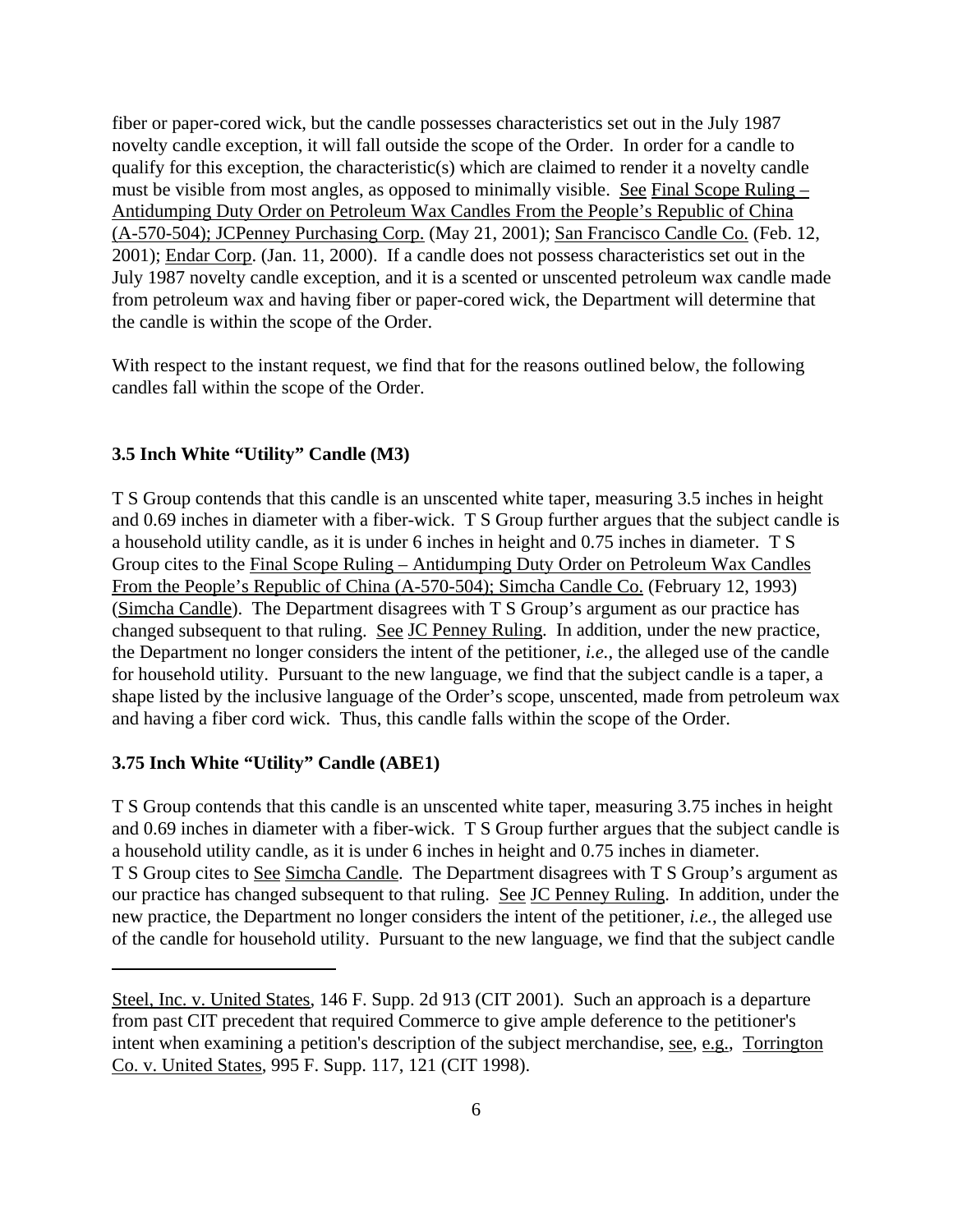fiber or paper-cored wick, but the candle possesses characteristics set out in the July 1987 novelty candle exception, it will fall outside the scope of the Order. In order for a candle to qualify for this exception, the characteristic(s) which are claimed to render it a novelty candle must be visible from most angles, as opposed to minimally visible. See Final Scope Ruling – Antidumping Duty Order on Petroleum Wax Candles From the People's Republic of China (A-570-504); JCPenney Purchasing Corp. (May 21, 2001); San Francisco Candle Co. (Feb. 12, 2001); Endar Corp. (Jan. 11, 2000). If a candle does not possess characteristics set out in the July 1987 novelty candle exception, and it is a scented or unscented petroleum wax candle made from petroleum wax and having fiber or paper-cored wick, the Department will determine that the candle is within the scope of the Order.

With respect to the instant request, we find that for the reasons outlined below, the following candles fall within the scope of the Order.

### **3.5 Inch White "Utility" Candle (M3)**

T S Group contends that this candle is an unscented white taper, measuring 3.5 inches in height and 0.69 inches in diameter with a fiber-wick. T S Group further argues that the subject candle is a household utility candle, as it is under 6 inches in height and 0.75 inches in diameter. T S Group cites to the Final Scope Ruling – Antidumping Duty Order on Petroleum Wax Candles From the People's Republic of China (A-570-504); Simcha Candle Co. (February 12, 1993) (Simcha Candle). The Department disagrees with T S Group's argument as our practice has changed subsequent to that ruling. See JC Penney Ruling. In addition, under the new practice, the Department no longer considers the intent of the petitioner, *i.e.*, the alleged use of the candle for household utility. Pursuant to the new language, we find that the subject candle is a taper, a shape listed by the inclusive language of the Order's scope, unscented, made from petroleum wax and having a fiber cord wick. Thus, this candle falls within the scope of the Order.

# **3.75 Inch White "Utility" Candle (ABE1)**

T S Group contends that this candle is an unscented white taper, measuring 3.75 inches in height and 0.69 inches in diameter with a fiber-wick. T S Group further argues that the subject candle is a household utility candle, as it is under 6 inches in height and 0.75 inches in diameter. T S Group cites to See Simcha Candle. The Department disagrees with T S Group's argument as our practice has changed subsequent to that ruling. See JC Penney Ruling. In addition, under the new practice, the Department no longer considers the intent of the petitioner, *i.e.*, the alleged use of the candle for household utility. Pursuant to the new language, we find that the subject candle

Steel, Inc. v. United States, 146 F. Supp. 2d 913 (CIT 2001). Such an approach is a departure from past CIT precedent that required Commerce to give ample deference to the petitioner's intent when examining a petition's description of the subject merchandise, see, e.g., Torrington Co. v. United States, 995 F. Supp. 117, 121 (CIT 1998).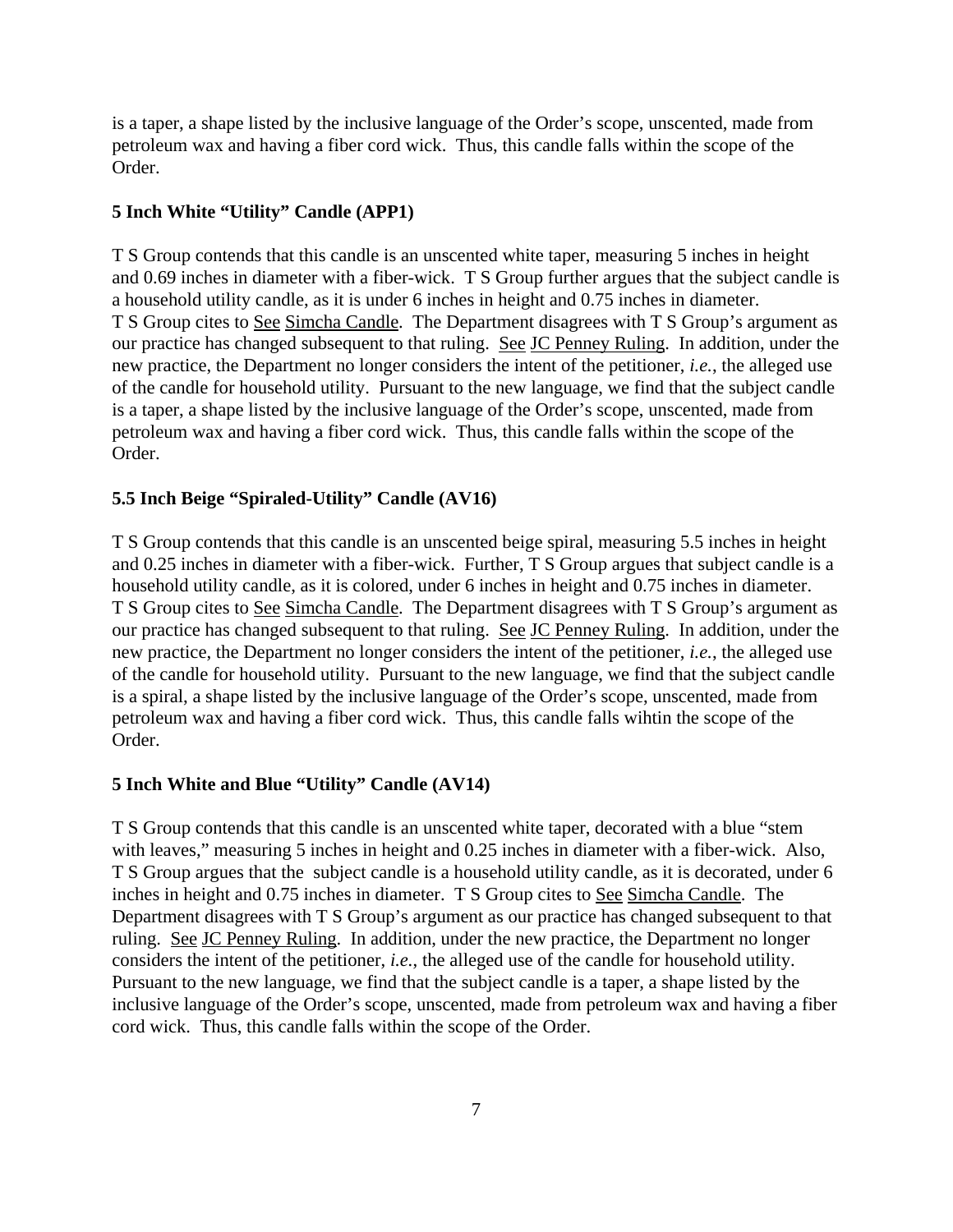is a taper, a shape listed by the inclusive language of the Order's scope, unscented, made from petroleum wax and having a fiber cord wick. Thus, this candle falls within the scope of the Order.

# **5 Inch White "Utility" Candle (APP1)**

T S Group contends that this candle is an unscented white taper, measuring 5 inches in height and 0.69 inches in diameter with a fiber-wick. T S Group further argues that the subject candle is a household utility candle, as it is under 6 inches in height and 0.75 inches in diameter. T S Group cites to See Simcha Candle. The Department disagrees with T S Group's argument as our practice has changed subsequent to that ruling. See JC Penney Ruling. In addition, under the new practice, the Department no longer considers the intent of the petitioner, *i.e.*, the alleged use of the candle for household utility. Pursuant to the new language, we find that the subject candle is a taper, a shape listed by the inclusive language of the Order's scope, unscented, made from petroleum wax and having a fiber cord wick. Thus, this candle falls within the scope of the Order.

# **5.5 Inch Beige "Spiraled-Utility" Candle (AV16)**

T S Group contends that this candle is an unscented beige spiral, measuring 5.5 inches in height and 0.25 inches in diameter with a fiber-wick. Further, T S Group argues that subject candle is a household utility candle, as it is colored, under 6 inches in height and 0.75 inches in diameter. T S Group cites to See Simcha Candle. The Department disagrees with T S Group's argument as our practice has changed subsequent to that ruling. See JC Penney Ruling. In addition, under the new practice, the Department no longer considers the intent of the petitioner, *i.e.*, the alleged use of the candle for household utility. Pursuant to the new language, we find that the subject candle is a spiral, a shape listed by the inclusive language of the Order's scope, unscented, made from petroleum wax and having a fiber cord wick. Thus, this candle falls wihtin the scope of the Order.

# **5 Inch White and Blue "Utility" Candle (AV14)**

T S Group contends that this candle is an unscented white taper, decorated with a blue "stem with leaves," measuring 5 inches in height and 0.25 inches in diameter with a fiber-wick. Also, T S Group argues that the subject candle is a household utility candle, as it is decorated, under 6 inches in height and 0.75 inches in diameter. T S Group cites to See Simcha Candle. The Department disagrees with T S Group's argument as our practice has changed subsequent to that ruling. See JC Penney Ruling. In addition, under the new practice, the Department no longer considers the intent of the petitioner, *i.e.*, the alleged use of the candle for household utility. Pursuant to the new language, we find that the subject candle is a taper, a shape listed by the inclusive language of the Order's scope, unscented, made from petroleum wax and having a fiber cord wick. Thus, this candle falls within the scope of the Order.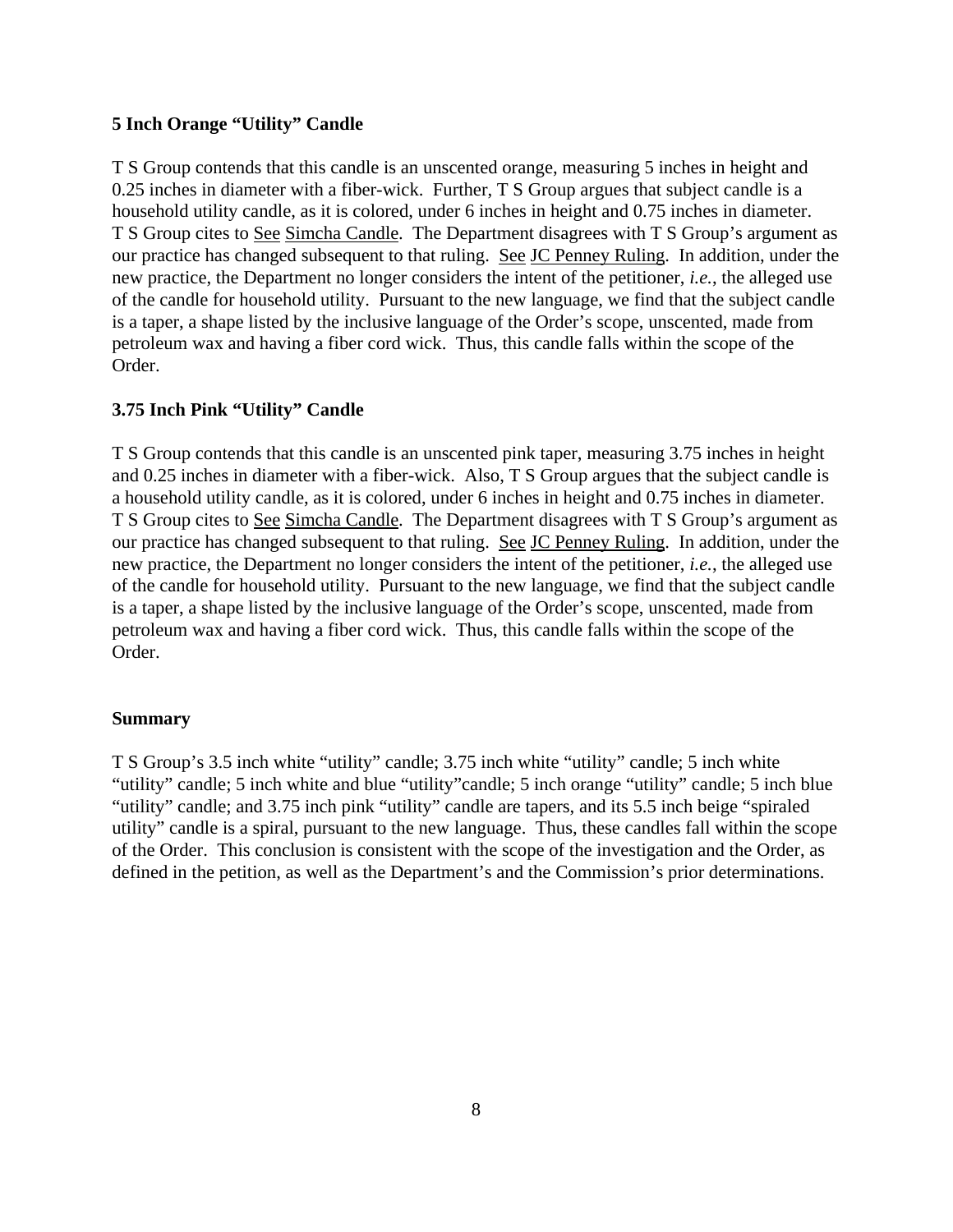### **5 Inch Orange "Utility" Candle**

T S Group contends that this candle is an unscented orange, measuring 5 inches in height and 0.25 inches in diameter with a fiber-wick. Further, T S Group argues that subject candle is a household utility candle, as it is colored, under 6 inches in height and 0.75 inches in diameter. T S Group cites to See Simcha Candle. The Department disagrees with T S Group's argument as our practice has changed subsequent to that ruling. See JC Penney Ruling. In addition, under the new practice, the Department no longer considers the intent of the petitioner, *i.e.*, the alleged use of the candle for household utility. Pursuant to the new language, we find that the subject candle is a taper, a shape listed by the inclusive language of the Order's scope, unscented, made from petroleum wax and having a fiber cord wick. Thus, this candle falls within the scope of the Order.

# **3.75 Inch Pink "Utility" Candle**

T S Group contends that this candle is an unscented pink taper, measuring 3.75 inches in height and 0.25 inches in diameter with a fiber-wick. Also, T S Group argues that the subject candle is a household utility candle, as it is colored, under 6 inches in height and 0.75 inches in diameter. T S Group cites to See Simcha Candle. The Department disagrees with T S Group's argument as our practice has changed subsequent to that ruling. See JC Penney Ruling. In addition, under the new practice, the Department no longer considers the intent of the petitioner, *i.e.*, the alleged use of the candle for household utility. Pursuant to the new language, we find that the subject candle is a taper, a shape listed by the inclusive language of the Order's scope, unscented, made from petroleum wax and having a fiber cord wick. Thus, this candle falls within the scope of the Order.

### **Summary**

T S Group's 3.5 inch white "utility" candle; 3.75 inch white "utility" candle; 5 inch white "utility" candle; 5 inch white and blue "utility"candle; 5 inch orange "utility" candle; 5 inch blue "utility" candle; and 3.75 inch pink "utility" candle are tapers, and its 5.5 inch beige "spiraled utility" candle is a spiral, pursuant to the new language. Thus, these candles fall within the scope of the Order. This conclusion is consistent with the scope of the investigation and the Order, as defined in the petition, as well as the Department's and the Commission's prior determinations.